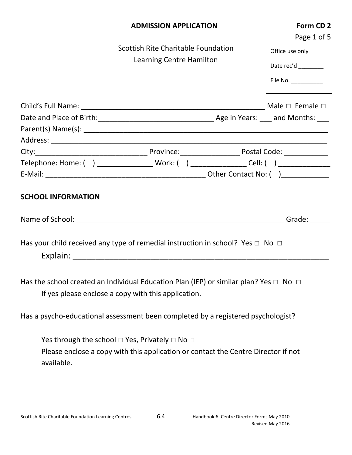|            | <b>ADMISSION APPLICATION</b>                                                                                                                           | Form CD 2<br>Page 1 of 5 |
|------------|--------------------------------------------------------------------------------------------------------------------------------------------------------|--------------------------|
|            | Scottish Rite Charitable Foundation                                                                                                                    | Office use only          |
|            | Learning Centre Hamilton                                                                                                                               |                          |
|            |                                                                                                                                                        | Date rec'd _______       |
|            |                                                                                                                                                        | File No. ___________     |
|            |                                                                                                                                                        |                          |
|            |                                                                                                                                                        |                          |
|            |                                                                                                                                                        |                          |
|            |                                                                                                                                                        |                          |
|            |                                                                                                                                                        |                          |
|            |                                                                                                                                                        |                          |
|            |                                                                                                                                                        |                          |
|            | Has your child received any type of remedial instruction in school? Yes $\Box$ No $\Box$                                                               |                          |
|            | Has the school created an Individual Education Plan (IEP) or similar plan? Yes $\Box$ No $\Box$<br>If yes please enclose a copy with this application. |                          |
|            | Has a psycho-educational assessment been completed by a registered psychologist?                                                                       |                          |
|            | Yes through the school $\Box$ Yes, Privately $\Box$ No $\Box$                                                                                          |                          |
| available. | Please enclose a copy with this application or contact the Centre Director if not                                                                      |                          |
|            |                                                                                                                                                        |                          |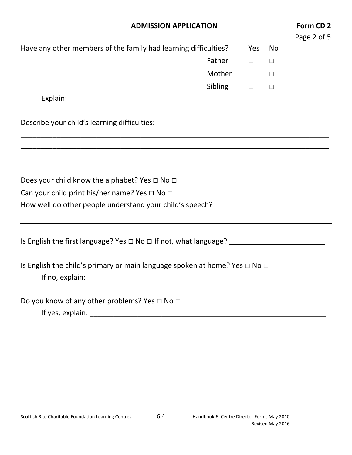| <b>ADMISSION APPLICATION</b>                                                         |         |        |        |  |
|--------------------------------------------------------------------------------------|---------|--------|--------|--|
| Have any other members of the family had learning difficulties?                      |         | Yes    | No     |  |
|                                                                                      | Father  | $\Box$ | $\Box$ |  |
|                                                                                      | Mother  | $\Box$ | $\Box$ |  |
|                                                                                      | Sibling | $\Box$ | $\Box$ |  |
|                                                                                      |         |        |        |  |
| Describe your child's learning difficulties:                                         |         |        |        |  |
|                                                                                      |         |        |        |  |
| Does your child know the alphabet? Yes $\Box$ No $\Box$                              |         |        |        |  |
| Can your child print his/her name? Yes $\Box$ No $\Box$                              |         |        |        |  |
| How well do other people understand your child's speech?                             |         |        |        |  |
|                                                                                      |         |        |        |  |
| Is English the child's primary or main language spoken at home? Yes $\Box$ No $\Box$ |         |        |        |  |
| Do you know of any other problems? Yes □ No □                                        |         |        |        |  |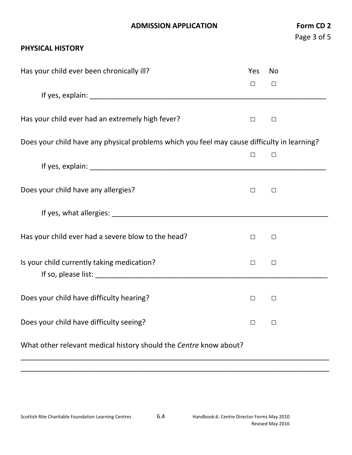## **ADMISSION APPLICATION Form CD 2**

## **PHYSICAL HISTORY**

| Has your child ever been chronically ill?                                                                      |        | No     |  |
|----------------------------------------------------------------------------------------------------------------|--------|--------|--|
| If yes, explain: The analysis of the state of the state of the state of the state of the state of the state of | $\Box$ | □      |  |
|                                                                                                                |        |        |  |
| Has your child ever had an extremely high fever?                                                               | $\Box$ | $\Box$ |  |
| Does your child have any physical problems which you feel may cause difficulty in learning?                    |        |        |  |
|                                                                                                                | $\Box$ | $\Box$ |  |
|                                                                                                                |        |        |  |
| Does your child have any allergies?                                                                            | $\Box$ | $\Box$ |  |
|                                                                                                                |        |        |  |
| Has your child ever had a severe blow to the head?                                                             | $\Box$ | □      |  |
| Is your child currently taking medication?                                                                     | $\Box$ | $\Box$ |  |
| Does your child have difficulty hearing?                                                                       | $\Box$ | $\Box$ |  |
| Does your child have difficulty seeing?                                                                        |        | $\Box$ |  |
| What other relevant medical history should the Centre know about?                                              |        |        |  |

\_\_\_\_\_\_\_\_\_\_\_\_\_\_\_\_\_\_\_\_\_\_\_\_\_\_\_\_\_\_\_\_\_\_\_\_\_\_\_\_\_\_\_\_\_\_\_\_\_\_\_\_\_\_\_\_\_\_\_\_\_\_\_\_\_\_\_\_\_\_\_\_\_\_\_\_\_ \_\_\_\_\_\_\_\_\_\_\_\_\_\_\_\_\_\_\_\_\_\_\_\_\_\_\_\_\_\_\_\_\_\_\_\_\_\_\_\_\_\_\_\_\_\_\_\_\_\_\_\_\_\_\_\_\_\_\_\_\_\_\_\_\_\_\_\_\_\_\_\_\_\_\_\_\_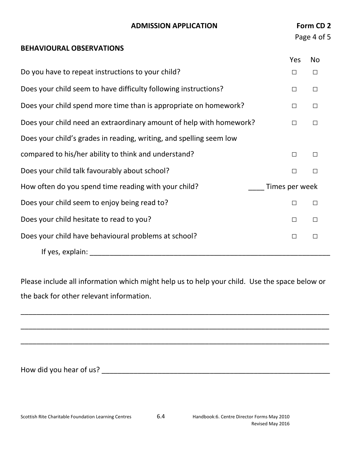| <b>BEHAVIOURAL OBSERVATIONS</b>                                     |                | Page 4 of 5 |
|---------------------------------------------------------------------|----------------|-------------|
|                                                                     | <b>Yes</b>     | <b>No</b>   |
| Do you have to repeat instructions to your child?                   | □              | □           |
| Does your child seem to have difficulty following instructions?     | $\Box$         | $\Box$      |
| Does your child spend more time than is appropriate on homework?    | $\Box$         | $\Box$      |
| Does your child need an extraordinary amount of help with homework? | $\Box$         | $\Box$      |
| Does your child's grades in reading, writing, and spelling seem low |                |             |
| compared to his/her ability to think and understand?                | $\Box$         | $\Box$      |
| Does your child talk favourably about school?                       | $\Box$         | $\Box$      |
| How often do you spend time reading with your child?                | Times per week |             |
| Does your child seem to enjoy being read to?                        | $\Box$         | $\Box$      |
| Does your child hesitate to read to you?                            | $\Box$         | $\Box$      |
| Does your child have behavioural problems at school?                | $\Box$         | $\Box$      |
| If yes, explain:                                                    |                |             |

**ADMISSION APPLICATION Form CD 2**

Please include all information which might help us to help your child. Use the space below or the back for other relevant information.

\_\_\_\_\_\_\_\_\_\_\_\_\_\_\_\_\_\_\_\_\_\_\_\_\_\_\_\_\_\_\_\_\_\_\_\_\_\_\_\_\_\_\_\_\_\_\_\_\_\_\_\_\_\_\_\_\_\_\_\_\_\_\_\_\_\_\_\_\_\_\_\_\_\_\_\_\_

\_\_\_\_\_\_\_\_\_\_\_\_\_\_\_\_\_\_\_\_\_\_\_\_\_\_\_\_\_\_\_\_\_\_\_\_\_\_\_\_\_\_\_\_\_\_\_\_\_\_\_\_\_\_\_\_\_\_\_\_\_\_\_\_\_\_\_\_\_\_\_\_\_\_\_\_\_

\_\_\_\_\_\_\_\_\_\_\_\_\_\_\_\_\_\_\_\_\_\_\_\_\_\_\_\_\_\_\_\_\_\_\_\_\_\_\_\_\_\_\_\_\_\_\_\_\_\_\_\_\_\_\_\_\_\_\_\_\_\_\_\_\_\_\_\_\_\_\_\_\_\_\_\_\_

How did you hear of us? \_\_\_\_\_\_\_\_\_\_\_\_\_\_\_\_\_\_\_\_\_\_\_\_\_\_\_\_\_\_\_\_\_\_\_\_\_\_\_\_\_\_\_\_\_\_\_\_\_\_\_\_\_\_\_\_\_